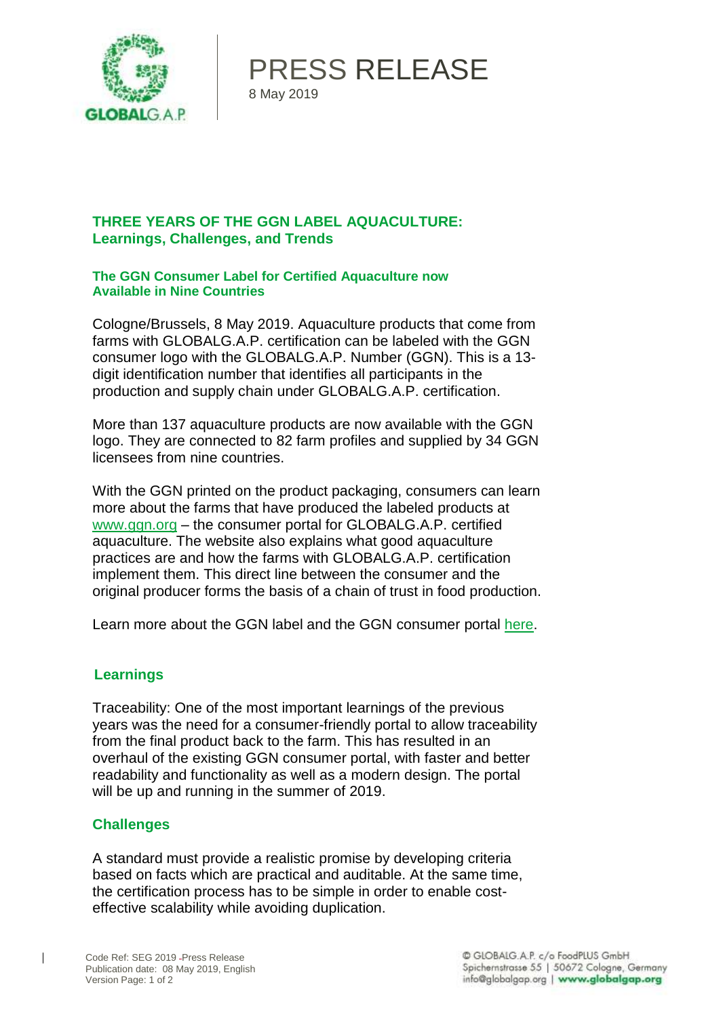

PRESS RELEASE 8 May 2019

## **THREE YEARS OF THE GGN LABEL AQUACULTURE: Learnings, Challenges, and Trends**

**The GGN Consumer Label for Certified Aquaculture now Available in Nine Countries**

Cologne/Brussels, 8 May 2019. Aquaculture products that come from farms with GLOBALG.A.P. certification can be labeled with the GGN consumer logo with the GLOBALG.A.P. Number (GGN). This is a 13 digit identification number that identifies all participants in the production and supply chain under GLOBALG.A.P. certification.

More than 137 aquaculture products are now available with the GGN logo. They are connected to 82 farm profiles and supplied by 34 GGN licensees from nine countries.

With the GGN printed on the product packaging, consumers can learn more about the farms that have produced the labeled products a[t](https://aquaculture.ggn.org/en/) [www.ggn.org](https://aquaculture.ggn.org/en/) – the consumer portal for GLOBALG.A.P. certified aquaculture. The website also explains what good aquaculture practices are and how the farms with GLOBALG.A.P. certification implement them. This direct line between the consumer and the original producer forms the basis of a chain of trust in food production.

Learn more about the GGN label and the GGN consumer portal [here.](https://aquaculture.ggn.org/en/)

### **Learnings**

Traceability: One of the most important learnings of the previous years was the need for a consumer-friendly portal to allow traceability from the final product back to the farm. This has resulted in an overhaul of the existing GGN consumer portal, with faster and better readability and functionality as well as a modern design. The portal will be up and running in the summer of 2019.

### **Challenges**

A standard must provide a realistic promise by developing criteria based on facts which are practical and auditable. At the same time, the certification process has to be simple in order to enable costeffective scalability while avoiding duplication.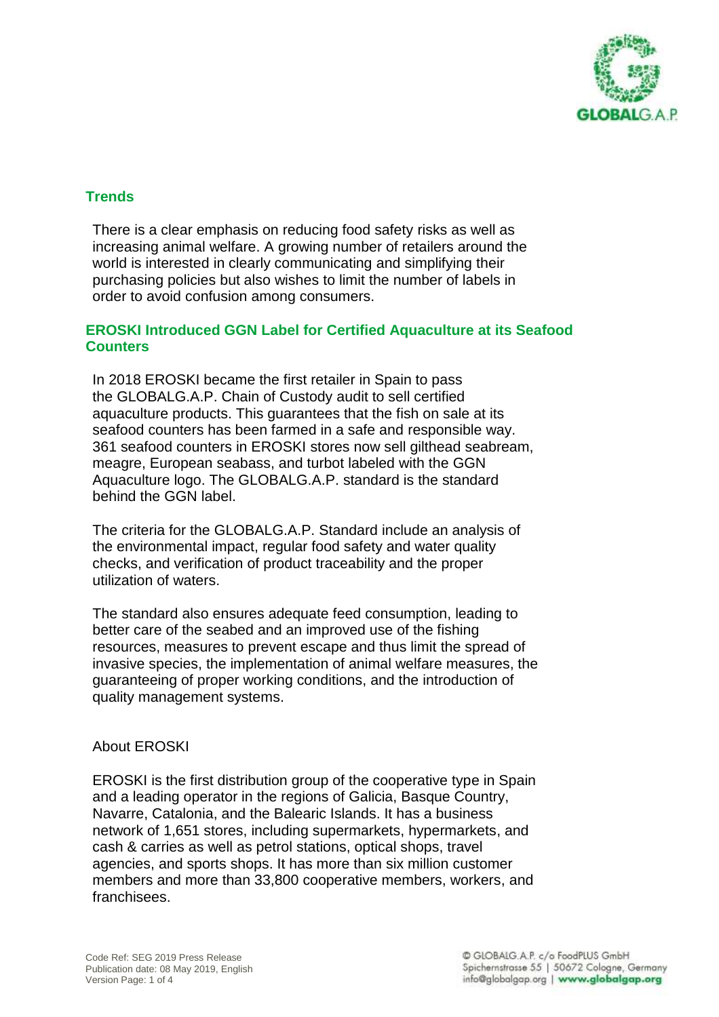

## **Trends**

There is a clear emphasis on reducing food safety risks as well as increasing animal welfare. A growing number of retailers around the world is interested in clearly communicating and simplifying their purchasing policies but also wishes to limit the number of labels in order to avoid confusion among consumers.

#### **EROSKI Introduced GGN Label for Certified Aquaculture at its Seafood Counters**

In 2018 EROSKI became the first retailer in Spain to pass the [GLOBALG.A.P. Chain of Custody](https://www.globalgap.org/uk_en/for-producers/globalg.a.p./coc/) audit to sell certified aquaculture products. This guarantees that the fish on sale at its seafood counters has been farmed in a safe and responsible way. 361 seafood counters in EROSKI stores now sell gilthead seabream, meagre, European seabass, and turbot labeled with the GGN Aquaculture logo. The GLOBALG.A.P. standard is the standard behind the GGN label.

The criteria for the [GLOBALG.A.P. Standard](https://www.globalgap.org/uk_en/for-producers/globalg.a.p./integrated-farm-assurance-ifa/aquaculture/index.html) include an analysis of the environmental impact, regular food safety and water quality checks, and verification of product traceability and the proper utilization of waters.

The standard also ensures adequate feed consumption, leading to better care of the seabed and an improved use of the fishing resources, measures to prevent escape and thus limit the spread of invasive species, the implementation of animal welfare measures, the guaranteeing of proper working conditions, and the introduction of quality management systems.

#### About EROSKI

EROSKI is the first distribution group of the cooperative type in Spain and a leading operator in the regions of Galicia, Basque Country, Navarre, Catalonia, and the Balearic Islands. It has a business network of 1,651 stores, including supermarkets, hypermarkets, and cash & carries as well as petrol stations, optical shops, travel agencies, and sports shops. It has more than six million customer members and more than 33,800 cooperative members, workers, and franchisees.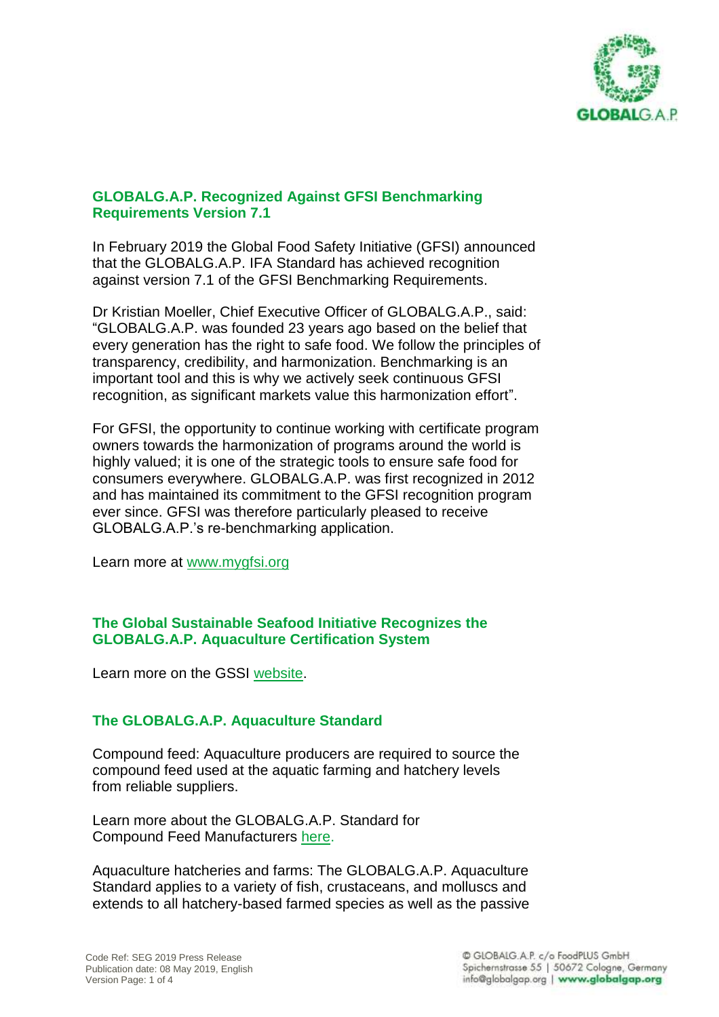

### **[GLOBALG.A.P. Recognized Against GFSI Benchmarking](https://www.mygfsi.com/news-resources/latest-news/1450-sqfi-achieves-recognition-against-version-7-1-of-the-gfsi-benchmarking-requirements.html)  [Requirements](https://www.mygfsi.com/news-resources/latest-news/1450-sqfi-achieves-recognition-against-version-7-1-of-the-gfsi-benchmarking-requirements.html) Version 7.1**

In February 2019 the Global Food Safety Initiative (GFSI) announced that the GLOBALG.A.P. IFA Standard has achieved recognition against version 7.1 of the [GFSI Benchmarking Requirements.](https://www.mygfsi.com/certification/benchmarking/gfsi-guidance-document.html)

Dr Kristian Moeller, Chief Executive Officer of GLOBALG.A.P., said: "GLOBALG.A.P. was founded 23 years ago based on the belief that every generation has the right to safe food. We follow the principles of transparency, credibility, and harmonization. Benchmarking is an important tool and this is why we actively seek continuous GFSI recognition, as significant markets value this harmonization effort".

For GFSI, the opportunity to continue working with certificate program owners towards the harmonization of programs around the world is highly valued; it is one of the strategic tools to ensure safe food for consumers everywhere. GLOBALG.A.P. was first recognized in 2012 and has maintained its commitment to the GFSI recognition program ever since. GFSI was therefore particularly pleased to receive GLOBALG.A.P.'s re-benchmarking application.

Learn more at [www.mygfsi.org](http://www.mygfsi.org/)

### **The Global Sustainable Seafood Initiative Recognizes the GLOBALG.A.P. Aquaculture Certification System**

Learn more on the GSSI [website.](https://www.ourgssi.org/)

# **The GLOBALG.A.P. Aquaculture Standard**

Compound feed: Aquaculture producers are required to source the compound feed used at the aquatic farming and hatchery levels from reliable suppliers.

Learn more about the GLOBALG.A.P. Standard for Compound Feed Manufacturers [here.](http://www.globalgap.org/cfm)

Aquaculture hatcheries and farms: The GLOBALG.A.P. Aquaculture Standard applies to a variety of fish, crustaceans, and molluscs and extends to all hatchery-based farmed species as well as the passive